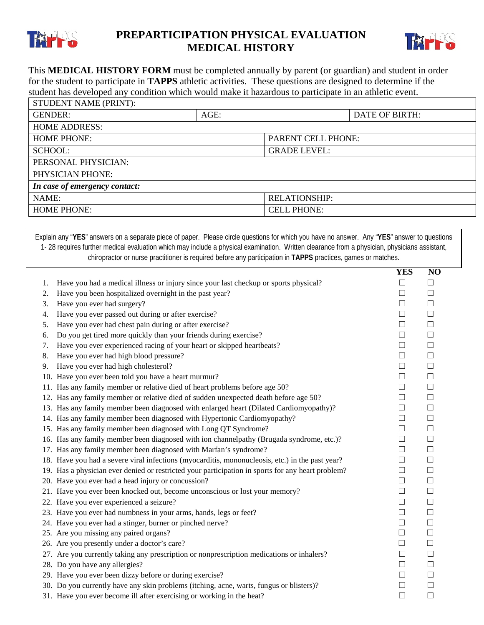

## **PREPARTICIPATION PHYSICAL EVALUATION MEDICAL HISTORY**



This **MEDICAL HISTORY FORM** must be completed annually by parent (or guardian) and student in order for the student to participate in **TAPPS** athletic activities. These questions are designed to determine if the student has developed any condition which would make it hazardous to participate in an athletic event. STUDENT NAME (PRINT).

| STUDENT NAME (PRINT).         |      |                      |                       |  |  |  |
|-------------------------------|------|----------------------|-----------------------|--|--|--|
| <b>GENDER:</b>                | AGE: |                      | <b>DATE OF BIRTH:</b> |  |  |  |
| <b>HOME ADDRESS:</b>          |      |                      |                       |  |  |  |
| <b>HOME PHONE:</b>            |      | PARENT CELL PHONE:   |                       |  |  |  |
| <b>SCHOOL:</b>                |      | <b>GRADE LEVEL:</b>  |                       |  |  |  |
| PERSONAL PHYSICIAN:           |      |                      |                       |  |  |  |
| PHYSICIAN PHONE:              |      |                      |                       |  |  |  |
| In case of emergency contact: |      |                      |                       |  |  |  |
| NAME:                         |      | <b>RELATIONSHIP:</b> |                       |  |  |  |
| <b>HOME PHONE:</b>            |      | <b>CELL PHONE:</b>   |                       |  |  |  |
|                               |      |                      |                       |  |  |  |

Explain any "**YES**" answers on a separate piece of paper. Please circle questions for which you have no answer. Any "**YES**" answer to questions 1- 28 requires further medical evaluation which may include a physical examination. Written clearance from a physician, physicians assistant, chiropractor or nurse practitioner is required before any participation in **TAPPS** practices, games or matches.

|    |                                                                                                   | YES    | N <sub>O</sub> |
|----|---------------------------------------------------------------------------------------------------|--------|----------------|
| 1. | Have you had a medical illness or injury since your last checkup or sports physical?              | $\Box$ | $\Box$         |
| 2. | Have you been hospitalized overnight in the past year?                                            | $\Box$ | $\Box$         |
| 3. | Have you ever had surgery?                                                                        | $\Box$ | $\Box$         |
| 4. | Have you ever passed out during or after exercise?                                                | $\Box$ | $\Box$         |
| 5. | Have you ever had chest pain during or after exercise?                                            | $\Box$ | $\Box$         |
| 6. | Do you get tired more quickly than your friends during exercise?                                  | $\Box$ | $\Box$         |
| 7. | Have you ever experienced racing of your heart or skipped heartbeats?                             | $\Box$ | $\Box$         |
| 8. | Have you ever had high blood pressure?                                                            | $\Box$ | $\Box$         |
|    | 9. Have you ever had high cholesterol?                                                            | $\Box$ | $\Box$         |
|    | 10. Have you ever been told you have a heart murmur?                                              | $\Box$ | $\Box$         |
|    | 11. Has any family member or relative died of heart problems before age 50?                       | $\Box$ | $\Box$         |
|    | 12. Has any family member or relative died of sudden unexpected death before age 50?              | $\Box$ | $\Box$         |
|    | 13. Has any family member been diagnosed with enlarged heart (Dilated Cardiomyopathy)?            | $\Box$ | $\Box$         |
|    | 14. Has any family member been diagnosed with Hypertonic Cardiomyopathy?                          | $\Box$ | $\Box$         |
|    | 15. Has any family member been diagnosed with Long QT Syndrome?                                   | $\Box$ | $\Box$         |
|    | 16. Has any family member been diagnosed with ion channelpathy (Brugada syndrome, etc.)?          | $\Box$ | $\Box$         |
|    | 17. Has any family member been diagnosed with Marfan's syndrome?                                  | $\Box$ | $\Box$         |
|    | 18. Have you had a severe viral infections (myocarditis, mononucleosis, etc.) in the past year?   | $\Box$ | $\Box$         |
|    | 19. Has a physician ever denied or restricted your participation in sports for any heart problem? | $\Box$ | $\Box$         |
|    | 20. Have you ever had a head injury or concussion?                                                | $\Box$ | $\Box$         |
|    | 21. Have you ever been knocked out, become unconscious or lost your memory?                       | $\Box$ | $\Box$         |
|    | 22. Have you ever experienced a seizure?                                                          | $\Box$ | $\Box$         |
|    | 23. Have you ever had numbness in your arms, hands, legs or feet?                                 | $\Box$ | $\Box$         |
|    | 24. Have you ever had a stinger, burner or pinched nerve?                                         | $\Box$ | $\Box$         |
|    | 25. Are you missing any paired organs?                                                            | $\Box$ | $\Box$         |
|    | 26. Are you presently under a doctor's care?                                                      | $\Box$ | $\Box$         |
|    | 27. Are you currently taking any prescription or nonprescription medications or inhalers?         | $\Box$ | $\Box$         |
|    | 28. Do you have any allergies?                                                                    | $\Box$ | $\Box$         |
|    | 29. Have you ever been dizzy before or during exercise?                                           | $\Box$ | $\Box$         |
|    | 30. Do you currently have any skin problems (itching, acne, warts, fungus or blisters)?           | $\Box$ | $\Box$         |
|    | 31. Have you ever become ill after exercising or working in the heat?                             | $\Box$ | $\Box$         |